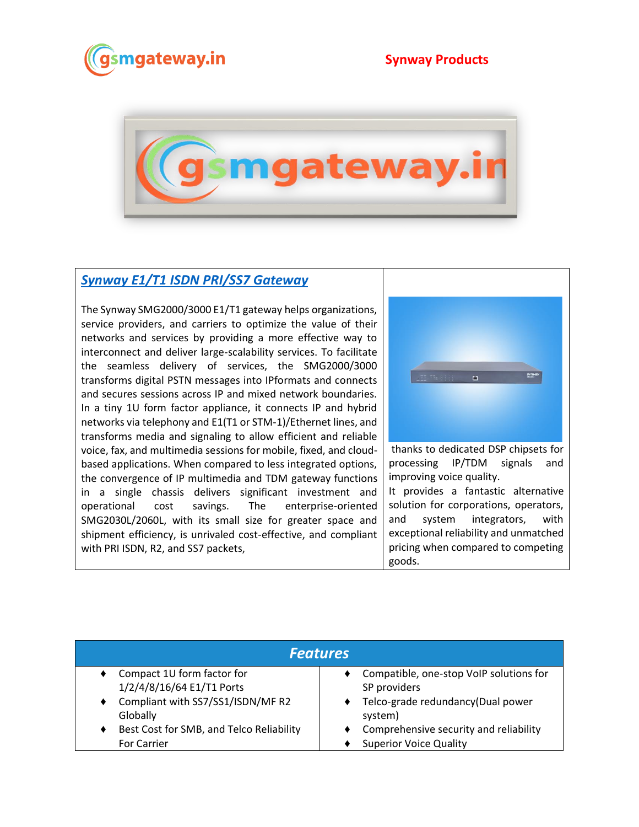



## *[Synway E1/T1 ISDN PRI/SS7 Gateway](https://www.gsmgateway.in/synway/E1T1-ISDN-PRISS7-Gateway.html)*

The Synway SMG2000/3000 E1/T1 gateway helps organizations, service providers, and carriers to optimize the value of their networks and services by providing a more effective way to interconnect and deliver large-scalability services. To facilitate the seamless delivery of services, the SMG2000/3000 transforms digital PSTN messages into IPformats and connects and secures sessions across IP and mixed network boundaries. In a tiny 1U form factor appliance, it connects IP and hybrid networks via telephony and E1(T1 or STM-1)/Ethernet lines, and transforms media and signaling to allow efficient and reliable voice, fax, and multimedia sessions for mobile, fixed, and cloudbased applications. When compared to less integrated options, the convergence of IP multimedia and TDM gateway functions in a single chassis delivers significant investment and operational cost savings. The enterprise-oriented SMG2030L/2060L, with its small size for greater space and shipment efficiency, is unrivaled cost-effective, and compliant with PRI ISDN, R2, and SS7 packets,



thanks to dedicated DSP chipsets for processing IP/TDM signals and improving voice quality. It provides a fantastic alternative solution for corporations, operators, and system integrators, with exceptional reliability and unmatched pricing when compared to competing

goods.

| <b>Features</b>                          |                                         |  |  |  |
|------------------------------------------|-----------------------------------------|--|--|--|
| Compact 1U form factor for               | Compatible, one-stop VoIP solutions for |  |  |  |
| 1/2/4/8/16/64 E1/T1 Ports                | SP providers                            |  |  |  |
| Compliant with SS7/SS1/ISDN/MF R2        | Telco-grade redundancy(Dual power       |  |  |  |
| Globally                                 | system)                                 |  |  |  |
| Best Cost for SMB, and Telco Reliability | Comprehensive security and reliability  |  |  |  |
| <b>For Carrier</b>                       | <b>Superior Voice Quality</b>           |  |  |  |